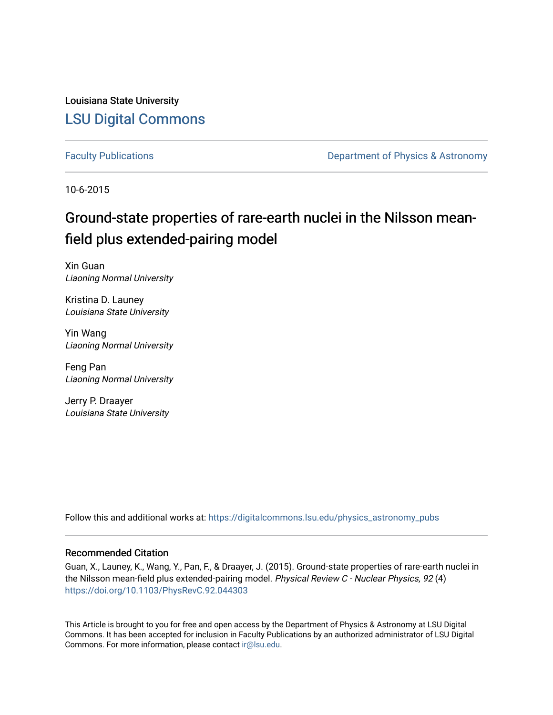Louisiana State University [LSU Digital Commons](https://digitalcommons.lsu.edu/)

[Faculty Publications](https://digitalcommons.lsu.edu/physics_astronomy_pubs) **Exercise 2 and Table 2 and Table 2 and Table 2 and Table 2 and Table 2 and Table 2 and Table 2 and Table 2 and Table 2 and Table 2 and Table 2 and Table 2 and Table 2 and Table 2 and Table 2 and Table** 

10-6-2015

# Ground-state properties of rare-earth nuclei in the Nilsson meanfield plus extended-pairing model

Xin Guan Liaoning Normal University

Kristina D. Launey Louisiana State University

Yin Wang Liaoning Normal University

Feng Pan Liaoning Normal University

Jerry P. Draayer Louisiana State University

Follow this and additional works at: [https://digitalcommons.lsu.edu/physics\\_astronomy\\_pubs](https://digitalcommons.lsu.edu/physics_astronomy_pubs?utm_source=digitalcommons.lsu.edu%2Fphysics_astronomy_pubs%2F1702&utm_medium=PDF&utm_campaign=PDFCoverPages) 

## Recommended Citation

Guan, X., Launey, K., Wang, Y., Pan, F., & Draayer, J. (2015). Ground-state properties of rare-earth nuclei in the Nilsson mean-field plus extended-pairing model. Physical Review C - Nuclear Physics, 92 (4) <https://doi.org/10.1103/PhysRevC.92.044303>

This Article is brought to you for free and open access by the Department of Physics & Astronomy at LSU Digital Commons. It has been accepted for inclusion in Faculty Publications by an authorized administrator of LSU Digital Commons. For more information, please contact [ir@lsu.edu](mailto:ir@lsu.edu).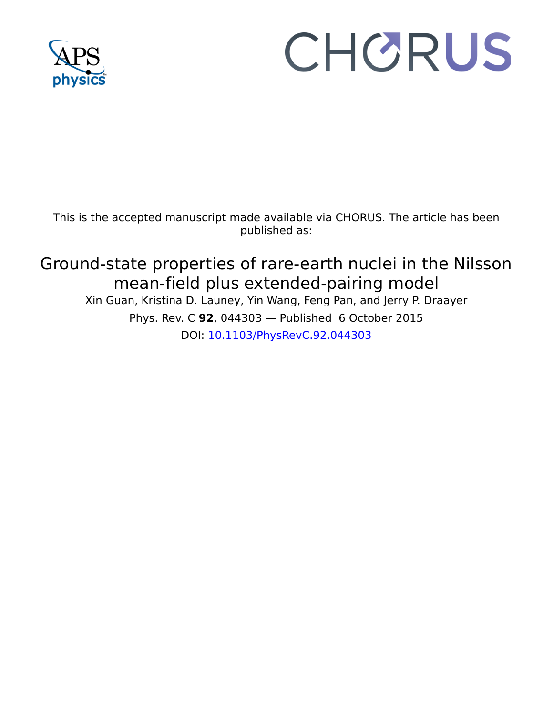

# CHORUS

This is the accepted manuscript made available via CHORUS. The article has been published as:

Ground-state properties of rare-earth nuclei in the Nilsson mean-field plus extended-pairing model Xin Guan, Kristina D. Launey, Yin Wang, Feng Pan, and Jerry P. Draayer Phys. Rev. C **92**, 044303 — Published 6 October 2015 DOI: [10.1103/PhysRevC.92.044303](http://dx.doi.org/10.1103/PhysRevC.92.044303)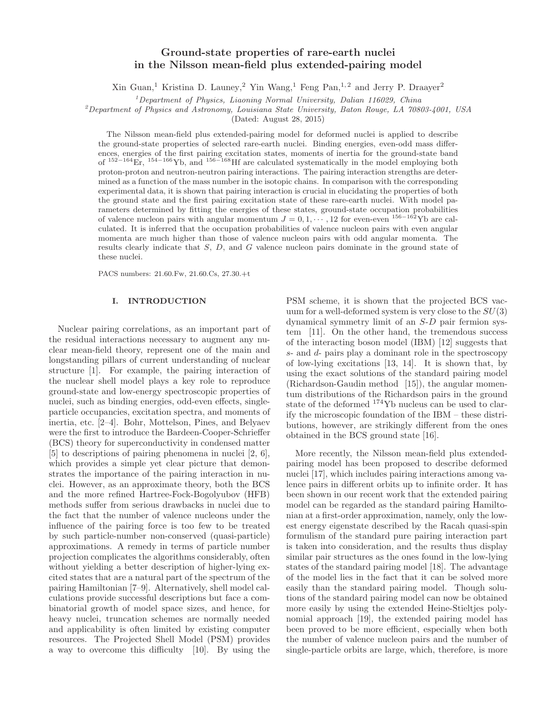### Ground-state properties of rare-earth nuclei in the Nilsson mean-field plus extended-pairing model

 $X$ in Guan,<sup>1</sup> Kristina D. Launey,<sup>2</sup> Yin Wang,<sup>1</sup> Feng Pan,<sup>1,2</sup> and Jerry P. Draayer<sup>2</sup>

<sup>1</sup>Department of Physics, Liaoning Normal University, Dalian 116029, China

<sup>2</sup>Department of Physics and Astronomy, Louisiana State University, Baton Rouge, LA 70803-4001, USA

(Dated: August 28, 2015)

The Nilsson mean-field plus extended-pairing model for deformed nuclei is applied to describe the ground-state properties of selected rare-earth nuclei. Binding energies, even-odd mass differences, energies of the first pairing excitation states, moments of inertia for the ground-state band of  $152-164$  Er,  $154-166$  Yb, and  $156-168$  Hf are calculated systematically in the model employing both employing both proton-proton and neutron-neutron pairing interactions. The pairing interaction strengths are determined as a function of the mass number in the isotopic chains. In comparison with the corresponding experimental data, it is shown that pairing interaction is crucial in elucidating the properties of both the ground state and the first pairing excitation state of these rare-earth nuclei. With model parameters determined by fitting the energies of these states, ground-state occupation probabilities of valence nucleon pairs with angular momentum  $J = 0, 1, \cdots, 12$  for even-even <sup>156–162</sup>Yb are calculated. It is inferred that the occupation probabilities of valence nucleon pairs with even angular momenta are much higher than those of valence nucleon pairs with odd angular momenta. The results clearly indicate that S, D, and G valence nucleon pairs dominate in the ground state of these nuclei.

PACS numbers: 21.60.Fw, 21.60.Cs, 27.30.+t

#### I. INTRODUCTION

Nuclear pairing correlations, as an important part of the residual interactions necessary to augment any nuclear mean-field theory, represent one of the main and longstanding pillars of current understanding of nuclear structure [1]. For example, the pairing interaction of the nuclear shell model plays a key role to reproduce ground-state and low-energy spectroscopic properties of nuclei, such as binding energies, odd-even effects, singleparticle occupancies, excitation spectra, and moments of inertia, etc. [2–4]. Bohr, Mottelson, Pines, and Belyaev were the first to introduce the Bardeen-Cooper-Schrieffer (BCS) theory for superconductivity in condensed matter [5] to descriptions of pairing phenomena in nuclei [2, 6], which provides a simple yet clear picture that demonstrates the importance of the pairing interaction in nuclei. However, as an approximate theory, both the BCS and the more refined Hartree-Fock-Bogolyubov (HFB) methods suffer from serious drawbacks in nuclei due to the fact that the number of valence nucleons under the influence of the pairing force is too few to be treated by such particle-number non-conserved (quasi-particle) approximations. A remedy in terms of particle number projection complicates the algorithms considerably, often without yielding a better description of higher-lying excited states that are a natural part of the spectrum of the pairing Hamiltonian [7–9]. Alternatively, shell model calculations provide successful descriptions but face a combinatorial growth of model space sizes, and hence, for heavy nuclei, truncation schemes are normally needed and applicability is often limited by existing computer resources. The Projected Shell Model (PSM) provides a way to overcome this difficulty [10]. By using the PSM scheme, it is shown that the projected BCS vacuum for a well-deformed system is very close to the  $SU(3)$ dynamical symmetry limit of an S-D pair fermion system [11]. On the other hand, the tremendous success of the interacting boson model (IBM) [12] suggests that s- and d- pairs play a dominant role in the spectroscopy of low-lying excitations [13, 14]. It is shown that, by using the exact solutions of the standard pairing model (Richardson-Gaudin method [15]), the angular momentum distributions of the Richardson pairs in the ground state of the deformed <sup>174</sup>Yb nucleus can be used to clarify the microscopic foundation of the IBM – these distributions, however, are strikingly different from the ones obtained in the BCS ground state [16].

More recently, the Nilsson mean-field plus extendedpairing model has been proposed to describe deformed nuclei [17], which includes pairing interactions among valence pairs in different orbits up to infinite order. It has been shown in our recent work that the extended pairing model can be regarded as the standard pairing Hamiltonian at a first-order approximation, namely, only the lowest energy eigenstate described by the Racah quasi-spin formulism of the standard pure pairing interaction part is taken into consideration, and the results thus display similar pair structures as the ones found in the low-lying states of the standard pairing model [18]. The advantage of the model lies in the fact that it can be solved more easily than the standard pairing model. Though solutions of the standard pairing model can now be obtained more easily by using the extended Heine-Stieltjes polynomial approach [19], the extended pairing model has been proved to be more efficient, especially when both the number of valence nucleon pairs and the number of single-particle orbits are large, which, therefore, is more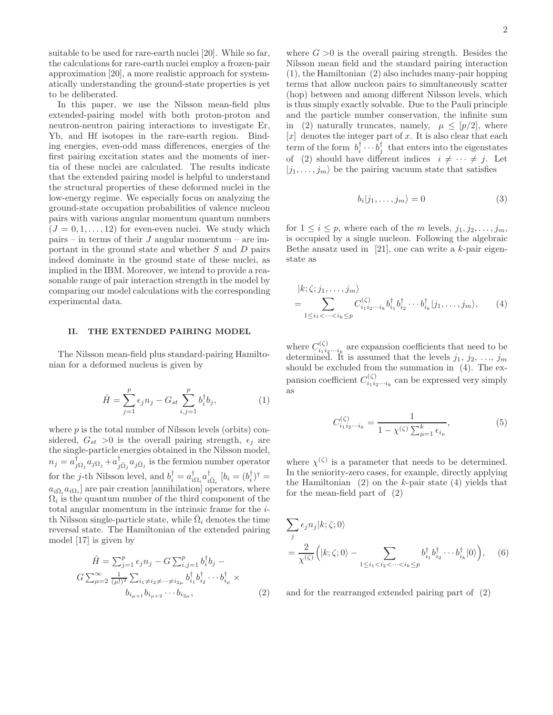suitable to be used for rare-earth nuclei [20]. While so far, the calculations for rare-earth nuclei employ a frozen-pair approximation [20], a more realistic approach for systematically understanding the ground-state properties is yet to be deliberated.

In this paper, we use the Nilsson mean-field plus extended-pairing model with both proton-proton and neutron-neutron pairing interactions to investigate Er, Yb, and Hf isotopes in the rare-earth region. Binding energies, even-odd mass differences, energies of the first pairing excitation states and the moments of inertia of these nuclei are calculated. The results indicate that the extended pairing model is helpful to understand the structural properties of these deformed nuclei in the low-energy regime. We especially focus on analyzing the ground-state occupation probabilities of valence nucleon pairs with various angular momentum quantum numbers  $(J = 0, 1, \ldots, 12)$  for even-even nuclei. We study which pairs – in terms of their  $J$  angular momentum – are important in the ground state and whether S and D pairs indeed dominate in the ground state of these nuclei, as implied in the IBM. Moreover, we intend to provide a reasonable range of pair interaction strength in the model by comparing our model calculations with the corresponding experimental data.

#### II. THE EXTENDED PAIRING MODEL

The Nilsson mean-field plus standard-pairing Hamiltonian for a deformed nucleus is given by

$$
\hat{H} = \sum_{j=1}^{p} \epsilon_j n_j - G_{st} \sum_{i,j=1}^{p} b_i^{\dagger} b_j, \tag{1}
$$

where  $p$  is the total number of Nilsson levels (orbits) considered,  $G_{st} > 0$  is the overall pairing strength,  $\epsilon_i$  are the single-particle energies obtained in the Nilsson model,  $n_j = a_{j\Omega_j}^{\dagger} a_{j\Omega_j} + a_{j\overline{\Omega}_j}^{\dagger} a_{j\overline{\Omega}_j}$  is the fermion number operator for the *j*-th Nilsson level, and  $b_i^{\dagger} = a_{i\Omega_i}^{\dagger} a_{i\overline{\Omega}_i}^{\dagger}$  [ $b_i = (b_i^{\dagger})^{\dagger} =$  $a_{i\bar{\Omega}_i}a_{i\Omega_i}$  are pair creation [annihilation] operators, where  $\Omega_i$  is the quantum number of the third component of the total angular momentum in the intrinsic frame for the ith Nilsson single-particle state, while  $\bar{\Omega}_i$  denotes the time reversal state. The Hamiltonian of the extended pairing model [17] is given by

$$
\hat{H} = \sum_{j=1}^{p} \epsilon_j n_j - G \sum_{i,j=1}^{p} b_i^{\dagger} b_j - G \sum_{\mu=2}^{\infty} \frac{1}{(\mu!)^2} \sum_{i_1 \neq i_2 \neq \dots \neq i_{2\mu}} b_{i_1}^{\dagger} b_{i_2}^{\dagger} \cdots b_{i_{\mu}}^{\dagger} \times b_{i_{\mu+1}} b_{i_{\mu+2}} \cdots b_{i_{2\mu}}, \tag{2}
$$

where  $G > 0$  is the overall pairing strength. Besides the Nilsson mean field and the standard pairing interaction (1), the Hamiltonian (2) also includes many-pair hopping terms that allow nucleon pairs to simultaneously scatter (hop) between and among different Nilsson levels, which is thus simply exactly solvable. Due to the Pauli principle and the particle number conservation, the infinite sum in (2) naturally truncates, namely,  $\mu \leq [p/2]$ , where  $[x]$  denotes the integer part of x. It is also clear that each term of the form  $b_i^{\dagger} \cdots b_j^{\dagger}$  that enters into the eigenstates of (2) should have different indices  $i \neq \cdots \neq j$ . Let  $|j_1, \ldots, j_m\rangle$  be the pairing vacuum state that satisfies

$$
b_i|j_1,\ldots,j_m\rangle = 0\tag{3}
$$

for  $1 \leq i \leq p$ , where each of the m levels,  $j_1, j_2, \ldots, j_m$ , is occupied by a single nucleon. Following the algebraic Bethe ansatz used in  $[21]$ , one can write a k-pair eigenstate as

$$
|k; \zeta; j_1, \dots, j_m\rangle
$$
  
= 
$$
\sum_{1 \le i_1 < \dots < i_k \le p} C_{i_1 i_2 \dots i_k}^{(\zeta)} b_{i_1}^\dagger b_{i_2}^\dagger \dots b_{i_k}^\dagger |j_1, \dots, j_m\rangle,
$$
 (4)

where  $C_{i_1 i_2 \cdots i_k}^{(\zeta)}$  are expansion coefficients that need to be determined. It is assumed that the levels  $j_1, j_2, \ldots, j_m$ should be excluded from the summation in (4). The expansion coefficient  $C^{(\zeta)}_{i_1 i_2 \cdots i_k}$  can be expressed very simply as

$$
C_{i_1 i_2 \cdots i_k}^{(\zeta)} = \frac{1}{1 - \chi(\zeta) \sum_{\mu=1}^k \epsilon_{i_\mu}},\tag{5}
$$

where  $\chi^{(\zeta)}$  is a parameter that needs to be determined. In the seniority-zero cases, for example, directly applying the Hamiltonian  $(2)$  on the k-pair state  $(4)$  yields that for the mean-field part of (2)

$$
\sum_{j} \epsilon_{j} n_{j} |k; \zeta; 0\rangle
$$
  
= 
$$
\frac{2}{\chi(\zeta)} \Big( |k; \zeta; 0 \rangle - \sum_{1 \le i_{1} < i_{2} < \dots < i_{k} \le p} b_{i_{1}}^{\dagger} b_{i_{2}}^{\dagger} \cdots b_{i_{k}}^{\dagger} |0\rangle \Big), \quad (6)
$$

and for the rearranged extended pairing part of (2)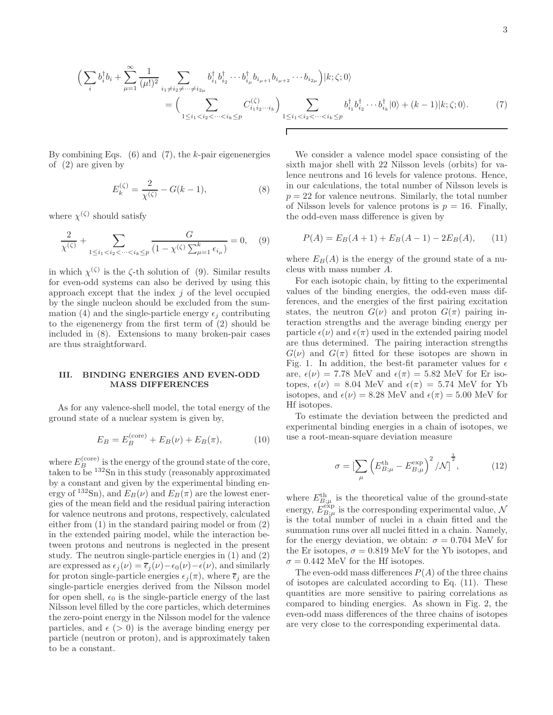$$
\left(\sum_{i} b_{i}^{\dagger} b_{i} + \sum_{\mu=1}^{\infty} \frac{1}{(\mu!)^{2}} \sum_{\substack{i_{1} \neq i_{2} \neq \cdots \neq i_{2\mu} \\ 1 \leq i_{1} < i_{2} < \cdots < i_{k} \leq p}} b_{i_{1}}^{\dagger} b_{i_{2}}^{\dagger} \cdots b_{i_{\mu}}^{\dagger} b_{i_{\mu+1}} b_{i_{\mu+2}} \cdots b_{i_{2\mu}}\right) |k; \zeta; 0\rangle
$$
\n
$$
= \left(\sum_{1 \leq i_{1} < i_{2} < \cdots < i_{k} \leq p} C_{i_{1}i_{2} \cdots i_{k}}^{(\zeta)}\right) \sum_{1 \leq i_{1} < i_{2} < \cdots < i_{k} \leq p} b_{i_{1}}^{\dagger} b_{i_{2}}^{\dagger} \cdots b_{i_{k}}^{\dagger} |0\rangle + (k-1)|k; \zeta; 0\rangle. \tag{7}
$$

By combining Eqs.  $(6)$  and  $(7)$ , the k-pair eigenenergies of (2) are given by

$$
E_k^{(\zeta)} = \frac{2}{\chi(\zeta)} - G(k-1),\tag{8}
$$

where  $\chi^{(\zeta)}$  should satisfy

$$
\frac{2}{\chi(\zeta)} + \sum_{1 \le i_1 < i_2 < \dots < i_k \le p} \frac{G}{(1 - \chi(\zeta) \sum_{\mu=1}^k \epsilon_{i_\mu})} = 0, \quad (9)
$$

in which  $\chi^{(\zeta)}$  is the  $\zeta$ -th solution of (9). Similar results for even-odd systems can also be derived by using this approach except that the index  $j$  of the level occupied by the single nucleon should be excluded from the summation (4) and the single-particle energy  $\epsilon_i$  contributing to the eigenenergy from the first term of (2) should be included in (8). Extensions to many broken-pair cases are thus straightforward.

#### III. BINDING ENERGIES AND EVEN-ODD MASS DIFFERENCES

As for any valence-shell model, the total energy of the ground state of a nuclear system is given by,

$$
E_B = E_B^{\text{(core)}} + E_B(\nu) + E_B(\pi), \tag{10}
$$

where  $E_B^{\text{(core)}}$  is the energy of the ground state of the core, taken to be <sup>132</sup>Sn in this study (reasonably approximated by a constant and given by the experimental binding energy of  $132\text{Sn}$ , and  $E_B(\nu)$  and  $E_B(\pi)$  are the lowest energies of the mean field and the residual pairing interaction for valence neutrons and protons, respectively, calculated either from (1) in the standard pairing model or from (2) in the extended pairing model, while the interaction between protons and neutrons is neglected in the present study. The neutron single-particle energies in (1) and (2) are expressed as  $\epsilon_j(\nu) = \overline{\epsilon}_j(\nu) - \epsilon_0(\nu) - \epsilon(\nu)$ , and similarly for proton single-particle energies  $\epsilon_j(\pi)$ , where  $\bar{\epsilon}_j$  are the single-particle energies derived from the Nilsson model for open shell,  $\epsilon_0$  is the single-particle energy of the last Nilsson level filled by the core particles, which determines the zero-point energy in the Nilsson model for the valence particles, and  $\epsilon$  ( $> 0$ ) is the average binding energy per particle (neutron or proton), and is approximately taken to be a constant.

We consider a valence model space consisting of the sixth major shell with 22 Nilsson levels (orbits) for valence neutrons and 16 levels for valence protons. Hence, in our calculations, the total number of Nilsson levels is  $p = 22$  for valence neutrons. Similarly, the total number of Nilsson levels for valence protons is  $p = 16$ . Finally, the odd-even mass difference is given by

$$
P(A) = E_B(A+1) + E_B(A-1) - 2E_B(A), \qquad (11)
$$

where  $E_B(A)$  is the energy of the ground state of a nucleus with mass number A.

For each isotopic chain, by fitting to the experimental values of the binding energies, the odd-even mass differences, and the energies of the first pairing excitation states, the neutron  $G(\nu)$  and proton  $G(\pi)$  pairing interaction strengths and the average binding energy per particle  $\epsilon(\nu)$  and  $\epsilon(\pi)$  used in the extended pairing model are thus determined. The pairing interaction strengths  $G(\nu)$  and  $G(\pi)$  fitted for these isotopes are shown in Fig. 1. In addition, the best-fit parameter values for  $\epsilon$ are,  $\epsilon(\nu) = 7.78 \text{ MeV}$  and  $\epsilon(\pi) = 5.82 \text{ MeV}$  for Er isotopes,  $\epsilon(\nu) = 8.04$  MeV and  $\epsilon(\pi) = 5.74$  MeV for Yb isotopes, and  $\epsilon(\nu) = 8.28 \text{ MeV}$  and  $\epsilon(\pi) = 5.00 \text{ MeV}$  for Hf isotopes.

To estimate the deviation between the predicted and experimental binding energies in a chain of isotopes, we use a root-mean-square deviation measure

$$
\sigma = \left[\sum_{\mu} \left( E_{B;\mu}^{\text{th}} - E_{B;\mu}^{\text{exp}} \right)^2 / \mathcal{N} \right]^{\frac{1}{2}},\tag{12}
$$

where  $E_{B;\mu}^{\text{th}}$  is the theoretical value of the ground-state energy,  $E_{B;\mu}^{\text{exp}}$  is the corresponding experimental value,  $\mathcal{N}$ is the total number of nuclei in a chain fitted and the summation runs over all nuclei fitted in a chain. Namely, for the energy deviation, we obtain:  $\sigma = 0.704$  MeV for the Er isotopes,  $\sigma = 0.819$  MeV for the Yb isotopes, and  $\sigma = 0.442$  MeV for the Hf isotopes.

The even-odd mass differences  $P(A)$  of the three chains of isotopes are calculated according to Eq. (11). These quantities are more sensitive to pairing correlations as compared to binding energies. As shown in Fig. 2, the even-odd mass differences of the three chains of isotopes are very close to the corresponding experimental data.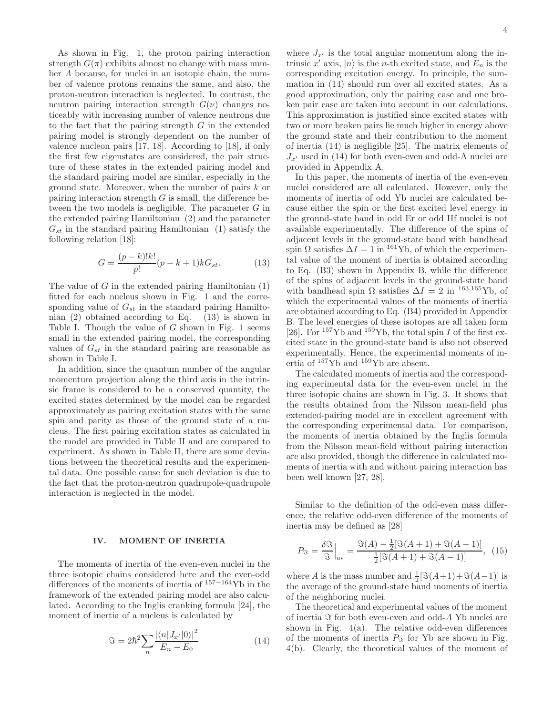As shown in Fig. 1, the proton pairing interaction strength  $G(\pi)$  exhibits almost no change with mass number A because, for nuclei in an isotopic chain, the number of valence protons remains the same, and also, the proton-neutron interaction is neglected. In contrast, the neutron pairing interaction strength  $G(\nu)$  changes noticeably with increasing number of valence neutrons due to the fact that the pairing strength G in the extended pairing model is strongly dependent on the number of valence nucleon pairs [17, 18]. According to [18], if only the first few eigenstates are considered, the pair structure of these states in the extended pairing model and the standard pairing model are similar, especially in the ground state. Moreover, when the number of pairs k or pairing interaction strength  $G$  is small, the difference between the two models is negligible. The parameter G in the extended pairing Hamiltonian (2) and the parameter  $G_{st}$  in the standard pairing Hamiltonian (1) satisfy the following relation [18]:

$$
G = \frac{(p-k)!k!}{p!}(p-k+1)kG_{st}.
$$
 (13)

The value of G in the extended pairing Hamiltonian  $(1)$ fitted for each nucleus shown in Fig. 1 and the corresponding value of  $G_{st}$  in the standard pairing Hamiltonian (2) obtained according to Eq. (13) is shown in Table I. Though the value of  $G$  shown in Fig. 1 seems small in the extended pairing model, the corresponding values of  $G_{st}$  in the standard pairing are reasonable as shown in Table I.

In addition, since the quantum number of the angular momentum projection along the third axis in the intrinsic frame is considered to be a conserved quantity, the excited states determined by the model can be regarded approximately as pairing excitation states with the same spin and parity as those of the ground state of a nucleus. The first pairing excitation states as calculated in the model are provided in Table II and are compared to experiment. As shown in Table II, there are some deviations between the theoretical results and the experimental data. One possible cause for such deviation is due to the fact that the proton-neutron quadrupole-quadrupole interaction is neglected in the model.

#### IV. MOMENT OF INERTIA

The moments of inertia of the even-even nuclei in the three isotopic chains considered here and the even-odd differences of the moments of inertia of <sup>157</sup>−<sup>164</sup>Yb in the framework of the extended pairing model are also calculated. According to the Inglis cranking formula [24], the moment of inertia of a nucleus is calculated by

$$
\Im = 2\hbar^2 \sum_{n} \frac{|\langle n|J_{x'}|0\rangle|^2}{E_n - E_0} \tag{14}
$$

where  $J_{x'}$  is the total angular momentum along the intrinsic x' axis,  $|n\rangle$  is the n-th excited state, and  $E_n$  is the corresponding excitation energy. In principle, the summation in (14) should run over all excited states. As a good approximation, only the pairing case and one broken pair case are taken into account in our calculations. This approximation is justified since excited states with two or more broken pairs lie much higher in energy above the ground state and their contribution to the moment of inertia (14) is negligible [25]. The matrix elements of  $J_{x'}$  used in (14) for both even-even and odd-A nuclei are provided in Appendix A.

In this paper, the moments of inertia of the even-even nuclei considered are all calculated. However, only the moments of inertia of odd Yb nuclei are calculated because either the spin or the first excited level energy in the ground-state band in odd Er or odd Hf nuclei is not available experimentally. The difference of the spins of adjacent levels in the ground-state band with bandhead spin  $\Omega$  satisfies  $\Delta I = 1$  in <sup>161</sup>Yb, of which the experimental value of the moment of inertia is obtained according to Eq. (B3) shown in Appendix B, while the difference of the spins of adjacent levels in the ground-state band with bandhead spin  $\Omega$  satisfies  $\Delta I = 2$  in <sup>163,165</sup>Yb, of which the experimental values of the moments of inertia are obtained according to Eq. (B4) provided in Appendix B. The level energies of these isotopes are all taken form [26]. For  $157\text{Yb}$  and  $159\text{Yb}$ , the total spin I of the first excited state in the ground-state band is also not observed experimentally. Hence, the experimental moments of inertia of <sup>157</sup>Yb and <sup>159</sup>Yb are absent.

The calculated moments of inertia and the corresponding experimental data for the even-even nuclei in the three isotopic chains are shown in Fig. 3. It shows that the results obtained from the Nilsson mean-field plus extended-pairing model are in excellent agreement with the corresponding experimental data. For comparison, the moments of inertia obtained by the Inglis formula from the Nilsson mean-field without pairing interaction are also provided, though the difference in calculated moments of inertia with and without pairing interaction has been well known [27, 28].

Similar to the definition of the odd-even mass difference, the relative odd-even difference of the moments of inertia may be defined as [28]

$$
P_{\Im} = \frac{\delta \Im}{\Im} \Big|_{\text{av}} = \frac{\Im(A) - \frac{1}{2} [\Im(A+1) + \Im(A-1)]}{\frac{1}{2} [\Im(A+1) + \Im(A-1)]}, \tag{15}
$$

where A is the mass number and  $\frac{1}{2}[\Im(A+1)+\Im(A-1)]$  is the average of the ground-state band moments of inertia of the neighboring nuclei.

The theoretical and experimental values of the moment of inertia  $\Im$  for both even-even and odd-A Yb nuclei are shown in Fig.  $4(a)$ . The relative odd-even differences of the moments of inertia  $P_{\Im}$  for Yb are shown in Fig. 4(b). Clearly, the theoretical values of the moment of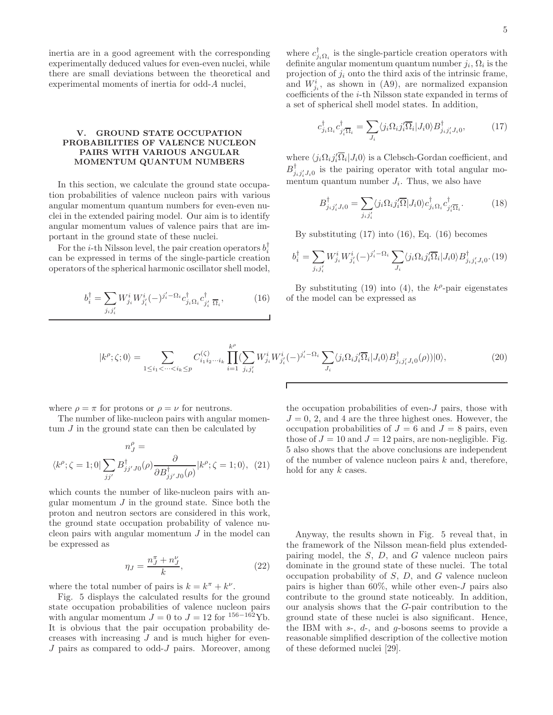inertia are in a good agreement with the corresponding experimentally deduced values for even-even nuclei, while there are small deviations between the theoretical and experimental moments of inertia for odd-A nuclei,

#### V. GROUND STATE OCCUPATION PROBABILITIES OF VALENCE NUCLEON PAIRS WITH VARIOUS ANGULAR MOMENTUM QUANTUM NUMBERS

In this section, we calculate the ground state occupation probabilities of valence nucleon pairs with various angular momentum quantum numbers for even-even nuclei in the extended pairing model. Our aim is to identify angular momentum values of valence pairs that are important in the ground state of these nuclei.

For the *i*-th Nilsson level, the pair creation operators  $b_i^{\dagger}$ can be expressed in terms of the single-particle creation operators of the spherical harmonic oscillator shell model,

$$
b_i^{\dagger} = \sum_{j_i j_i'} W_{j_i}^i W_{j_i'}^{i} (-)^{j_i' - \Omega_i} c_{j_i \Omega_i}^{\dagger} c_{j_i'}^{\dagger} \overline{\Omega}_i, \qquad (16)
$$

where  $c_{j_i\Omega_i}^{\dagger}$  is the single-particle creation operators with definite angular momentum quantum number  $j_i$ ,  $\Omega_i$  is the projection of  $j_i$  onto the third axis of the intrinsic frame, and  $W_{j_i}^i$ , as shown in (A9), are normalized expansion coefficients of the i-th Nilsson state expanded in terms of a set of spherical shell model states. In addition,

$$
c_{j_i\Omega_i}^{\dagger}c_{j_i'\overline{\Omega}_i}^{\dagger} = \sum_{J_i} \langle j_i\Omega_i j_i'\overline{\Omega}_i | J_i0 \rangle B_{j_i j_i' J_i0}^{\dagger},\tag{17}
$$

where  $\langle j_i \Omega_i j_i' \overline{\Omega}_i | J_i 0 \rangle$  is a Clebsch-Gordan coefficient, and  $B_i^{\dagger}$  $j_{i,j'_i,j_i'}$  is the pairing operator with total angular momentum quantum number  $J_i$ . Thus, we also have

$$
B_{j_i j_i' J_i 0}^{\dagger} = \sum_{j_i j_i'} \langle j_i \Omega_i j_i' \overline{\Omega} | J_i 0 \rangle c_{j_i \Omega_i}^{\dagger} c_{j_i' \overline{\Omega}_i}^{\dagger}.
$$
 (18)

By substituting (17) into (16), Eq. (16) becomes

$$
b_i^{\dagger} = \sum_{j_i j_i'} W_{j_i}^i W_{j_i'}^i(-)^{j_i'-\Omega_i} \sum_{J_i} \langle j_i \Omega_i j_i' \overline{\Omega}_i | J_i 0 \rangle B_{j_i j_i' J_i 0}^{\dagger}.
$$
 (19)

By substituting (19) into (4), the  $k^{\rho}$ -pair eigenstates of the model can be expressed as

$$
|k^{\rho};\zeta;0\rangle = \sum_{1 \leq i_1 < \dots < i_k \leq p} C_{i_1 i_2 \dots i_k}^{(\zeta)} \prod_{i=1}^{k^{\rho}} (\sum_{j_i j'_i} W_{j'_i}^i (-)^{j'_i - \Omega_i} \sum_{J_i} \langle j_i \Omega_i j'_i \overline{\Omega}_i | J_i 0 \rangle B_{j_i j'_i J_i 0}^{\dagger}(\rho)) |0\rangle, \tag{20}
$$

where  $\rho = \pi$  for protons or  $\rho = \nu$  for neutrons.

The number of like-nucleon pairs with angular momentum  $J$  in the ground state can then be calculated by

$$
n_J^\rho = \langle k^\rho; \zeta = 1; 0 \vert \sum_{jj'} B_{jj'J0}^\dagger(\rho) \frac{\partial}{\partial B_{jj'J0}^\dagger(\rho)} \vert k^\rho; \zeta = 1; 0 \rangle, \tag{21}
$$

which counts the number of like-nucleon pairs with angular momentum  $J$  in the ground state. Since both the proton and neutron sectors are considered in this work, the ground state occupation probability of valence nucleon pairs with angular momentum  $J$  in the model can be expressed as

$$
\eta_J = \frac{n_J^{\pi} + n_J^{\nu}}{k},\tag{22}
$$

where the total number of pairs is  $k = k^{\pi} + k^{\nu}$ .

Fig. 5 displays the calculated results for the ground state occupation probabilities of valence nucleon pairs with angular momentum  $J = 0$  to  $J = 12$  for <sup>156–162</sup>Yb. It is obvious that the pair occupation probability decreases with increasing J and is much higher for even-J pairs as compared to odd-J pairs. Moreover, among the occupation probabilities of even-J pairs, those with  $J = 0, 2,$  and 4 are the three highest ones. However, the occupation probabilities of  $J = 6$  and  $J = 8$  pairs, even those of  $J = 10$  and  $J = 12$  pairs, are non-negligible. Fig. 5 also shows that the above conclusions are independent of the number of valence nucleon pairs  $k$  and, therefore, hold for any k cases.

Anyway, the results shown in Fig. 5 reveal that, in the framework of the Nilsson mean-field plus extendedpairing model, the  $S$ ,  $D$ , and  $G$  valence nucleon pairs dominate in the ground state of these nuclei. The total occupation probability of S, D, and G valence nucleon pairs is higher than  $60\%$ , while other even-*J* pairs also contribute to the ground state noticeably. In addition, our analysis shows that the G-pair contribution to the ground state of these nuclei is also significant. Hence, the IBM with  $s<sub>1</sub>$ ,  $d<sub>2</sub>$ , and  $g<sub>1</sub>$ -bosons seems to provide a reasonable simplified description of the collective motion of these deformed nuclei [29].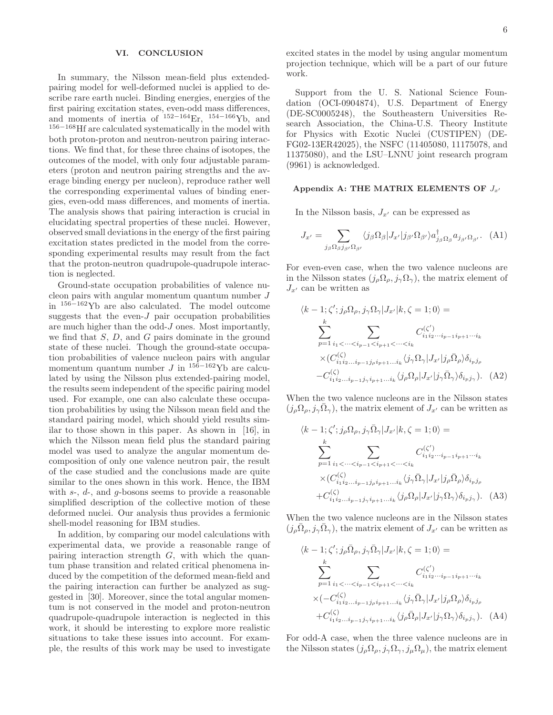#### VI. CONCLUSION

In summary, the Nilsson mean-field plus extendedpairing model for well-deformed nuclei is applied to describe rare earth nuclei. Binding energies, energies of the first pairing excitation states, even-odd mass differences, and moments of inertia of <sup>152</sup>−<sup>164</sup>Er, <sup>154</sup>−<sup>166</sup>Yb, and <sup>156</sup>−<sup>168</sup>Hf are calculated systematically in the model with both proton-proton and neutron-neutron pairing interactions. We find that, for these three chains of isotopes, the outcomes of the model, with only four adjustable parameters (proton and neutron pairing strengths and the average binding energy per nucleon), reproduce rather well the corresponding experimental values of binding energies, even-odd mass differences, and moments of inertia. The analysis shows that pairing interaction is crucial in elucidating spectral properties of these nuclei. However, observed small deviations in the energy of the first pairing excitation states predicted in the model from the corresponding experimental results may result from the fact that the proton-neutron quadrupole-quadrupole interaction is neglected.

Ground-state occupation probabilities of valence nucleon pairs with angular momentum quantum number J in <sup>156</sup>−<sup>162</sup>Yb are also calculated. The model outcome suggests that the even- $J$  pair occupation probabilities are much higher than the odd-J ones. Most importantly, we find that  $S$ ,  $D$ , and  $G$  pairs dominate in the ground state of these nuclei. Though the ground-state occupation probabilities of valence nucleon pairs with angular momentum quantum number  $J$  in <sup>156–162</sup>Yb are calculated by using the Nilsson plus extended-pairing model, the results seem independent of the specific pairing model used. For example, one can also calculate these occupation probabilities by using the Nilsson mean field and the standard pairing model, which should yield results similar to those shown in this paper. As shown in [16], in which the Nilsson mean field plus the standard pairing model was used to analyze the angular momentum decomposition of only one valence neutron pair, the result of the case studied and the conclusions made are quite similar to the ones shown in this work. Hence, the IBM with  $s$ -,  $d$ -, and  $g$ -bosons seems to provide a reasonable simplified description of the collective motion of these deformed nuclei. Our analysis thus provides a fermionic shell-model reasoning for IBM studies.

In addition, by comparing our model calculations with experimental data, we provide a reasonable range of pairing interaction strength  $G$ , with which the quantum phase transition and related critical phenomena induced by the competition of the deformed mean-field and the pairing interaction can further be analyzed as suggested in [30]. Moreover, since the total angular momentum is not conserved in the model and proton-neutron quadrupole-quadrupole interaction is neglected in this work, it should be interesting to explore more realistic situations to take these issues into account. For example, the results of this work may be used to investigate excited states in the model by using angular momentum projection technique, which will be a part of our future work.

Support from the U. S. National Science Foundation (OCI-0904874), U.S. Department of Energy (DE-SC0005248), the Southeastern Universities Research Association, the China-U.S. Theory Institute for Physics with Exotic Nuclei (CUSTIPEN) (DE-FG02-13ER42025), the NSFC (11405080, 11175078, and 11375080), and the LSU–LNNU joint research program (9961) is acknowledged.

#### Appendix A: THE MATRIX ELEMENTS OF  $J_{x'}$

In the Nilsson basis,  $J_{x'}$  can be expressed as

$$
J_{x'} = \sum_{j_{\beta} \Omega_{\beta} j_{\beta'} \Omega_{\beta'}} \langle j_{\beta} \Omega_{\beta} | J_{x'} | j_{\beta'} \Omega_{\beta'} \rangle a_{j_{\beta} \Omega_{\beta}}^{\dagger} a_{j_{\beta'} \Omega_{\beta'}}. (A1)
$$

For even-even case, when the two valence nucleons are in the Nilsson states  $(j_{\rho} \Omega_{\rho}, j_{\gamma} \Omega_{\gamma})$ , the matrix element of  $J_{x'}$  can be written as

$$
\langle k-1; \zeta'; j_{\rho} \Omega_{\rho}, j_{\gamma} \Omega_{\gamma} | J_{x'} | k, \zeta = 1; 0 \rangle =
$$
  

$$
\sum_{p=1}^{k} \sum_{i_1 < \dots < i_{p-1} < i_{p+1} < \dots < i_k} C_{i_1 i_2 \dots i_{p-1} i_{p+1} \dots i_k}^{(\zeta')}
$$
  

$$
\times (C_{i_1 i_2 \dots i_{p-1} j_{\rho} i_{p+1} \dots i_k} \langle j_{\gamma} \Omega_{\gamma} | J_{x'} | j_{\rho} \overline{\Omega}_{\rho} \rangle \delta_{i_p j_{\rho}}
$$
  

$$
-C_{i_1 i_2 \dots i_{p-1} j_{\gamma} i_{p+1} \dots i_k} \langle j_{\rho} \Omega_{\rho} | J_{x'} | j_{\gamma} \overline{\Omega}_{\gamma} \rangle \delta_{i_p j_{\gamma}}).
$$
 (A2)

When the two valence nucleons are in the Nilsson states  $(j_{\rho} \Omega_{\rho}, j_{\gamma} \bar{\Omega}_{\gamma})$ , the matrix element of  $J_{x'}$  can be written as

$$
\langle k-1; \zeta'; j_{\rho} \Omega_{\rho}, j_{\gamma} \bar{\Omega}_{\gamma} | J_{x'} | k, \zeta = 1; 0 \rangle =
$$
  

$$
\sum_{p=1}^{k} \sum_{i_1 < \dots < i_{p-1} < i_{p+1} < \dots < i_k} C_{i_1 i_2 \dots i_{p-1} i_{p+1} \dots i_k}^{(\zeta')}
$$
  

$$
\times (C_{i_1 i_2 \dots i_{p-1} j_{\rho} i_{p+1} \dots i_k}^{(\zeta)} \langle j_{\gamma} \bar{\Omega}_{\gamma} | J_{x'} | j_{\rho} \bar{\Omega}_{\rho} \rangle \delta_{i_p j_{\rho}}
$$
  

$$
+ C_{i_1 i_2 \dots i_{p-1} j_{\gamma} i_{p+1} \dots i_k}^{(\zeta)} \langle j_{\rho} \Omega_{\rho} | J_{x'} | j_{\gamma} \Omega_{\gamma} \rangle \delta_{i_p j_{\gamma}} ).
$$
(A3)

When the two valence nucleons are in the Nilsson states  $(j_{\rho} \bar{\Omega}_{\rho}, j_{\gamma} \bar{\Omega}_{\gamma})$ , the matrix element of  $J_{x'}$  can be written as

$$
\langle k-1; \zeta'; j_{\rho} \bar{\Omega}_{\rho}, j_{\gamma} \bar{\Omega}_{\gamma} | J_{x'} | k, \zeta = 1; 0 \rangle =
$$
\n
$$
\sum_{p=1}^{k} \sum_{i_{1} < \dots < i_{p-1} < i_{p+1} < \dots < i_{k}} C_{i_{1} i_{2} \dots i_{p-1} i_{p+1} \dots i_{k}}^{(\zeta')}
$$
\n
$$
\times (-C_{i_{1} i_{2} \dots i_{p-1} j_{\rho} i_{p+1} \dots i_{k}}^{(\zeta)} \langle j_{\gamma} \bar{\Omega}_{\gamma} | J_{x'} | j_{\rho} \Omega_{\rho} \rangle \delta_{i_{p} j_{\rho}}
$$
\n
$$
+ C_{i_{1} i_{2} \dots i_{p-1} j_{\gamma} i_{p+1} \dots i_{k}}^{(\zeta)} \langle j_{\rho} \bar{\Omega}_{\rho} | J_{x'} | j_{\gamma} \Omega_{\gamma} \rangle \delta_{i_{p} j_{\gamma}} ).
$$
\n(A4)

For odd-A case, when the three valence nucleons are in the Nilsson states  $(j_{\rho} \Omega_{\rho}, j_{\gamma} \Omega_{\gamma}, j_{\mu} \Omega_{\mu})$ , the matrix element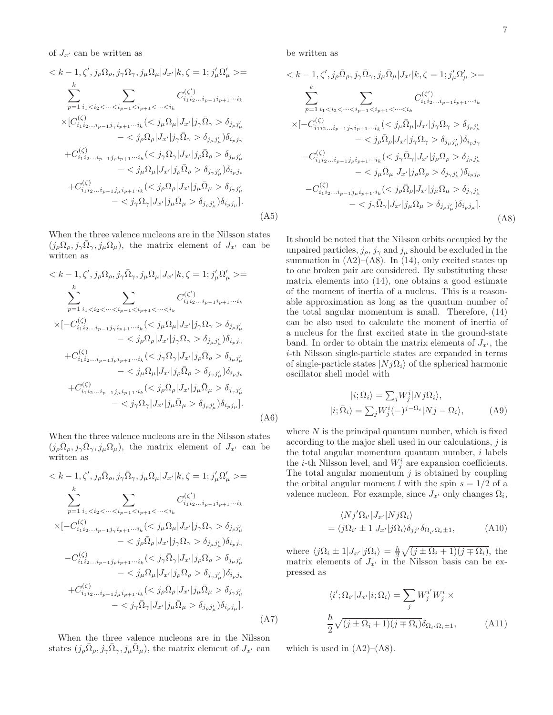of  $J_{x'}$  can be written as

$$
\langle k-1, \zeta', j_{\rho} \Omega_{\rho}, j_{\gamma} \Omega_{\gamma}, j_{\mu} \Omega_{\mu} |J_{x'}|k, \zeta = 1; j_{\mu}' \Omega_{\mu}' \rangle =
$$
\n
$$
\sum_{p=1}^{k} \sum_{i_{1} < i_{2} < \dots < i_{p-1} < i_{p+1} < \dots < i_{k}}
$$
\n
$$
\times [C_{i_{1}i_{2}...i_{p-1}j_{\gamma}i_{p+1}...i_{k}}^{(\zeta)}(\zeta)_{\mu} |J_{x'}|j_{\gamma}\bar{\Omega}_{\gamma} > \delta_{j_{\rho}j_{\mu}'}
$$
\n
$$
- \langle j_{\rho} \Omega_{\rho} |J_{x'}|j_{\gamma} \bar{\Omega}_{\gamma} > \delta_{j_{\mu}j_{\mu}'} \rangle \delta_{i_{p}j_{\gamma}}
$$
\n
$$
+ C_{i_{1}i_{2}...i_{p-1}j_{\rho}i_{p+1}...i_{k}}^{(\zeta)}(\zeta)_{\gamma} \Omega_{\gamma} |J_{x'}|j_{\rho} \bar{\Omega}_{\rho} > \delta_{j_{\mu}j_{\mu}'}
$$
\n
$$
- \langle j_{\mu} \Omega_{\mu} |J_{x'}|j_{\rho} \bar{\Omega}_{\rho} > \delta_{j_{\gamma}j_{\mu}'} \rangle \delta_{i_{p}j_{\rho}}
$$
\n
$$
+ C_{i_{1}i_{2}...i_{p-1}j_{\mu}i_{p+1} \cdot i_{k}}^{(\zeta)}(\zeta)_{\rho} \Omega_{\rho} |J_{x'}|j_{\mu} \bar{\Omega}_{\mu} > \delta_{j_{\gamma}j_{\mu}'} - \langle j_{\gamma} \Omega_{\gamma} |J_{x'}|j_{\mu} \bar{\Omega}_{\mu} > \delta_{j_{\rho}j_{\mu}'} \rangle \delta_{i_{p}j_{\mu}}].
$$
\n(A5)

When the three valence nucleons are in the Nilsson states  $(j_{\rho} \Omega_{\rho}, j_{\gamma} \bar{\Omega}_{\gamma}, j_{\mu} \Omega_{\mu}),$  the matrix element of  $J_{x'}$  can be written as

$$
\langle k-1, \zeta', j_{\rho} \Omega_{\rho}, j_{\gamma} \bar{\Omega}_{\gamma}, j_{\mu} \Omega_{\mu} |J_{x'}|k, \zeta = 1; j_{\mu}' \Omega_{\mu}' \rangle =
$$
\n
$$
\sum_{p=1}^{k} \sum_{i_{1} < i_{2} < \dots < i_{p-1} < i_{p+1} < \dots < i_{k}}
$$
\n
$$
\times [-C_{i_{1}i_{2}...i_{p-1}j_{\gamma}i_{p+1}...i_{k}}^{(\zeta)}(\zeta j_{\mu} \Omega_{\mu} |J_{x'}|j_{\gamma} \Omega_{\gamma} > \delta_{j_{\rho}j_{\mu}'}
$$
\n
$$
- \langle j_{\rho} \Omega_{\rho} |J_{x'}|j_{\gamma} \Omega_{\gamma} > \delta_{j_{\mu}j_{\mu}'} \rangle \delta_{i_{p}j_{\gamma}}
$$
\n
$$
+ C_{i_{1}i_{2}...i_{p-1}j_{\rho}i_{p+1}...i_{k}}^{(\zeta)}(\zeta j_{\gamma} \Omega_{\gamma} |J_{x'}|j_{\rho} \bar{\Omega}_{\rho} > \delta_{j_{\mu}j_{\mu}'}
$$
\n
$$
- \langle j_{\mu} \Omega_{\mu} |J_{x'}|j_{\rho} \bar{\Omega}_{\rho} > \delta_{j_{\gamma}j_{\mu}'} \rangle \delta_{i_{p}j_{\rho}}
$$
\n
$$
+ C_{i_{1}i_{2}...i_{p-1}j_{\mu}i_{p+1} \cdot i_{k}}^{(\zeta)}(\zeta j_{\rho} \Omega_{\rho} |J_{x'}|j_{\mu} \bar{\Omega}_{\mu} > \delta_{j_{\gamma}j_{\mu}'} - \langle j_{\gamma} \Omega_{\gamma} |J_{x'}|j_{\mu} \bar{\Omega}_{\mu} > \delta_{j_{\rho}j_{\mu}'} \rangle \delta_{i_{p}j_{\mu}}].
$$
\n(A6)

When the three valence nucleons are in the Nilsson states  $(j_{\rho} \bar{\Omega}_{\rho}, j_{\gamma} \bar{\Omega}_{\gamma}, j_{\mu} \Omega_{\mu}),$  the matrix element of  $J_{x'}$  can be written as

$$
\langle k-1, \zeta', j_{\rho} \bar{\Omega}_{\rho}, j_{\gamma} \bar{\Omega}_{\gamma}, j_{\mu} \Omega_{\mu} |J_{x'}|k, \zeta = 1; j'_{\mu} \Omega'_{\mu} \rangle =
$$
\n
$$
\sum_{p=1}^{k} \sum_{i_{1} < i_{2} < \cdots < i_{p-1} < i_{p+1} < \cdots < i_{k}} C_{i_{1}i_{2}...i_{p-1}i_{p+1}...i_{k}}^{(j')}
$$
\n
$$
\times [-C_{i_{1}i_{2}...i_{p-1}j_{\gamma}i_{p+1}...i_{k}}^{(j)} \langle j_{\mu} \Omega_{\mu} |J_{x'}|j_{\gamma} \Omega_{\gamma} > \delta_{j_{\rho}j'_{\mu}} - \langle j_{\rho} \bar{\Omega}_{\rho} |J_{x'}|j_{\gamma} \Omega_{\gamma} > \delta_{j_{\mu}j'_{\mu}} \rangle \delta_{i_{p}j_{\gamma}}
$$
\n
$$
-C_{i_{1}i_{2}...i_{p-1}j_{\rho}i_{p+1}...i_{k}}^{(j)} \langle j_{\gamma} \bar{\Omega}_{\gamma} |J_{x'}|j_{\rho} \Omega_{\rho} > \delta_{j_{\mu}j'_{\mu}} - \langle j_{\mu} \Omega_{\mu} |J_{x'}|j_{\rho} \Omega_{\rho} > \delta_{j_{\gamma}j'_{\mu}} \rangle \delta_{i_{p}j_{\rho}}
$$
\n
$$
+C_{i_{1}i_{2}...i_{p-1}j_{\mu}i_{p+1}...i_{k}}^{(j)} \langle j_{\rho} \bar{\Omega}_{\rho} |J_{x'}|j_{\mu} \bar{\Omega}_{\mu} > \delta_{j_{\gamma}j'_{\mu}} - \langle j_{\gamma} \bar{\Omega}_{\gamma} |J_{x'}|j_{\mu} \bar{\Omega}_{\mu} > \delta_{j_{\rho}j'_{\mu}} \rangle \delta_{i_{p}j_{\mu}}].
$$
\n(A7)

When the three valence nucleons are in the Nilsson states  $(j_\rho \bar{\Omega}_\rho, j_\gamma \bar{\Omega}_\gamma, j_\mu \bar{\Omega}_\mu)$ , the matrix element of  $J_{x'}$  can be written as

$$
\langle k-1, \zeta', j_{\rho} \bar{\Omega}_{\rho}, j_{\gamma} \bar{\Omega}_{\gamma}, j_{\mu} \bar{\Omega}_{\mu} |J_{x'}|k, \zeta = 1; j'_{\mu} \Omega'_{\mu} \rangle =
$$
\n
$$
\sum_{p=1}^{k} \sum_{i_{1} < i_{2} < \dots < i_{p-1} < i_{p+1} < \dots < i_{k}} C_{i_{1}i_{2}...i_{p-1}i_{p+1}...i_{k}}^{(\zeta')}
$$
\n
$$
\times [-C_{i_{1}i_{2}...i_{p-1}j_{\gamma}i_{p+1}...i_{k}}^{(\zeta)}(\zeta j_{\mu} \bar{\Omega}_{\mu} |J_{x'}|j_{\gamma} \Omega_{\gamma} > \delta_{j_{\rho}j'_{\mu}} -\zeta j_{\rho} \bar{\Omega}_{\rho} |J_{x'}|j_{\gamma} \Omega_{\gamma} > \delta_{j_{\mu}j'_{\mu}}) \delta_{i_{p}j_{\gamma}}
$$
\n
$$
-C_{i_{1}i_{2}...i_{p-1}j_{\rho}i_{p+1}...i_{k}}^{(\zeta)}(\zeta j_{\gamma} \bar{\Omega}_{\gamma} |J_{x'}|j_{\rho} \Omega_{\rho} > \delta_{j_{\mu}j'_{\mu}} -\zeta j_{\mu} \bar{\Omega}_{\mu} |J_{x'}|j_{\rho} \Omega_{\rho} > \delta_{j_{\gamma}j'_{\mu}}) \delta_{i_{p}j_{\rho}}
$$
\n
$$
-C_{i_{1}i_{2}...i_{p-1}j_{\mu}i_{p+1}...i_{k}}^{(\zeta)}(\zeta j_{\rho} \bar{\Omega}_{\rho} |J_{x'}|j_{\mu} \Omega_{\mu} > \delta_{j_{\gamma}j'_{\mu}} -\zeta j_{\gamma} \bar{\Omega}_{\gamma} |J_{x'}|j_{\mu} \Omega_{\mu} > \delta_{j_{\rho}j'_{\mu}}) \delta_{i_{p}j_{\mu}}].
$$
\n(A8)

It should be noted that the Nilsson orbits occupied by the unpaired particles,  $j_{\rho}$ ,  $j_{\gamma}$  and  $j_{\mu}$  should be excluded in the summation in  $(A2)$ – $(A8)$ . In  $(14)$ , only excited states up to one broken pair are considered. By substituting these matrix elements into (14), one obtains a good estimate of the moment of inertia of a nucleus. This is a reasonable approximation as long as the quantum number of the total angular momentum is small. Therefore, (14) can be also used to calculate the moment of inertia of a nucleus for the first excited state in the ground-state band. In order to obtain the matrix elements of  $J_{x'}$ , the i-th Nilsson single-particle states are expanded in terms of single-particle states  $|Nj\Omega_i\rangle$  of the spherical harmonic oscillator shell model with

$$
|i; \Omega_i\rangle = \sum_j W_j^i |N j \Omega_i\rangle,
$$
  

$$
|i; \bar{\Omega}_i\rangle = \sum_j W_j^i (-)^{j - \Omega_i} |N j - \Omega_i\rangle,
$$
 (A9)

where  $N$  is the principal quantum number, which is fixed according to the major shell used in our calculations,  $j$  is the total angular momentum quantum number,  $i$  labels the *i*-th Nilsson level, and  $W_j^i$  are expansion coefficients. The total angular momentum  $j$  is obtained by coupling the orbital angular moment l with the spin  $s = 1/2$  of a valence nucleon. For example, since  $J_{x'}$  only changes  $\Omega_i$ ,

$$
\langle Nj'\Omega_{i'}|J_{x'}|Nj\Omega_{i}\rangle
$$
  
=  $\langle j\Omega_{i'} \pm 1|J_{x'}|j\Omega_{i}\rangle \delta_{jj'}\delta_{\Omega_{i'}\Omega_{i}\pm 1},$  (A10)

where  $\langle j\Omega_i \pm 1 | J_{x'} | j\Omega_i \rangle = \frac{\hbar}{2} \sqrt{(j \pm \Omega_i + 1)(j \mp \Omega_i)},$  the matrix elements of  $J_{x'}$  in the Nilsson basis can be expressed as

$$
\langle i';\Omega_{i'}|J_{x'}|i;\Omega_i\rangle = \sum_j W_j^{i'} W_j^i \times
$$
  

$$
\frac{\hbar}{2} \sqrt{(j \pm \Omega_i + 1)(j \mp \Omega_i)} \delta_{\Omega_i/\Omega_i \pm 1},
$$
 (A11)

which is used in  $(A2)$ – $(A8)$ .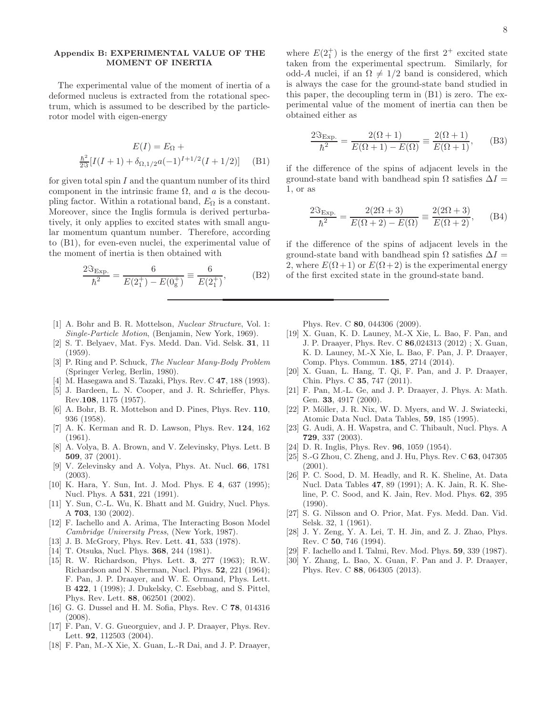#### Appendix B: EXPERIMENTAL VALUE OF THE MOMENT OF INERTIA

The experimental value of the moment of inertia of a deformed nucleus is extracted from the rotational spectrum, which is assumed to be described by the particlerotor model with eigen-energy

$$
E(I) = E_{\Omega} +
$$
  

$$
\frac{\hbar^2}{2\Im} [I(I+1) + \delta_{\Omega,1/2} a(-1)^{I+1/2} (I+1/2)]
$$
 (B1)

for given total spin  $I$  and the quantum number of its third component in the intrinsic frame  $\Omega$ , and a is the decoupling factor. Within a rotational band,  $E_{\Omega}$  is a constant. Moreover, since the Inglis formula is derived perturbatively, it only applies to excited states with small angular momentum quantum number. Therefore, according to (B1), for even-even nuclei, the experimental value of the moment of inertia is then obtained with

$$
\frac{2\Im_{\text{Exp.}}}{\hbar^2} = \frac{6}{E(2_1^+)-E(0_8^+)} \equiv \frac{6}{E(2_1^+)},\tag{B2}
$$

- [1] A. Bohr and B. R. Mottelson, *Nuclear Structure*, Vol. 1: Single-Particle Motion, (Benjamin, New York, 1969).
- [2] S. T. Belyaev, Mat. Fys. Medd. Dan. Vid. Selsk. 31, 11 (1959).
- [3] P. Ring and P. Schuck, The Nuclear Many-Body Problem (Springer Verleg, Berlin, 1980).
- [4] M. Hasegawa and S. Tazaki, Phys. Rev. C 47, 188 (1993).
- [5] J. Bardeen, L. N. Cooper, and J. R. Schrieffer, Phys. Rev.108, 1175 (1957).
- [6] A. Bohr, B. R. Mottelson and D. Pines, Phys. Rev. 110, 936 (1958).
- [7] A. K. Kerman and R. D. Lawson, Phys. Rev. 124, 162 (1961).
- [8] A. Volya, B. A. Brown, and V. Zelevinsky, Phys. Lett. B 509, 37 (2001).
- [9] V. Zelevinsky and A. Volya, Phys. At. Nucl. 66, 1781 (2003).
- [10] K. Hara, Y. Sun, Int. J. Mod. Phys. E 4, 637 (1995); Nucl. Phys. A 531, 221 (1991).
- [11] Y. Sun, C.-L. Wu, K. Bhatt and M. Guidry, Nucl. Phys. A 703, 130 (2002).
- [12] F. Iachello and A. Arima, The Interacting Boson Model Cambridge University Press, (New York, 1987).
- [13] J. B. McGrory, Phys. Rev. Lett. 41, 533 (1978).
- [14] T. Otsuka, Nucl. Phys. 368, 244 (1981).
- [15] R. W. Richardson, Phys. Lett. 3, 277 (1963); R.W. Richardson and N. Sherman, Nucl. Phys. 52, 221 (1964); F. Pan, J. P. Draayer, and W. E. Ormand, Phys. Lett. B 422, 1 (1998); J. Dukelsky, C. Esebbag, and S. Pittel, Phys. Rev. Lett. 88, 062501 (2002).
- [16] G. G. Dussel and H. M. Sofia, Phys. Rev. C 78, 014316 (2008).
- [17] F. Pan, V. G. Gueorguiev, and J. P. Draayer, Phys. Rev. Lett. 92, 112503 (2004).
- [18] F. Pan, M.-X Xie, X. Guan, L.-R Dai, and J. P. Draayer,

where  $E(2_1^+)$  is the energy of the first  $2^+$  excited state taken from the experimental spectrum. Similarly, for odd-A nuclei, if an  $\Omega \neq 1/2$  band is considered, which is always the case for the ground-state band studied in this paper, the decoupling term in (B1) is zero. The experimental value of the moment of inertia can then be obtained either as

$$
\frac{2\Im_{\text{Exp.}}}{\hbar^2} = \frac{2(\Omega + 1)}{E(\Omega + 1) - E(\Omega)} \equiv \frac{2(\Omega + 1)}{E(\Omega + 1)},\qquad(B3)
$$

if the difference of the spins of adjacent levels in the ground-state band with bandhead spin  $\Omega$  satisfies  $\Delta I =$ 1, or as

$$
\frac{2\Im_{\text{Exp.}}}{\hbar^2} = \frac{2(2\Omega + 3)}{E(\Omega + 2) - E(\Omega)} \equiv \frac{2(2\Omega + 3)}{E(\Omega + 2)}, \quad (B4)
$$

if the difference of the spins of adjacent levels in the ground-state band with bandhead spin  $\Omega$  satisfies  $\Delta I =$ 2, where  $E(\Omega + 1)$  or  $E(\Omega + 2)$  is the experimental energy of the first excited state in the ground-state band.

Phys. Rev. C 80, 044306 (2009).

- [19] X. Guan, K. D. Launey, M.-X Xie, L. Bao, F. Pan, and J. P. Draayer, Phys. Rev. C 86,024313 (2012) ; X. Guan, K. D. Launey, M.-X Xie, L. Bao, F. Pan, J. P. Draayer, Comp. Phys. Commun. 185, 2714 (2014).
- [20] X. Guan, L. Hang, T. Qi, F. Pan, and J. P. Draayer, Chin. Phys. C 35, 747 (2011).
- [21] F. Pan, M.-L. Ge, and J. P. Draayer, J. Phys. A: Math. Gen. 33, 4917 (2000).
- [22] P. Möller, J. R. Nix, W. D. Myers, and W. J. Swiatecki, Atomic Data Nucl. Data Tables, 59, 185 (1995).
- [23] G. Audi, A. H. Wapstra, and C. Thibault, Nucl. Phys. A 729, 337 (2003).
- [24] D. R. Inglis, Phys. Rev. **96**, 1059 (1954).
- [25] S.-G Zhou, C. Zheng, and J. Hu, Phys. Rev. C 63, 047305  $(2001).$
- [26] P. C. Sood, D. M. Headly, and R. K. Sheline, At. Data Nucl. Data Tables 47, 89 (1991); A. K. Jain, R. K. Sheline, P. C. Sood, and K. Jain, Rev. Mod. Phys. 62, 395 (1990).
- [27] S. G. Nilsson and O. Prior, Mat. Fys. Medd. Dan. Vid. Selsk. 32, 1 (1961).
- [28] J. Y. Zeng, Y. A. Lei, T. H. Jin, and Z. J. Zhao, Phys. Rev. C 50, 746 (1994).
- [29] F. Iachello and I. Talmi, Rev. Mod. Phys. 59, 339 (1987).
- [30] Y. Zhang, L. Bao, X. Guan, F. Pan and J. P. Draayer, Phys. Rev. C 88, 064305 (2013).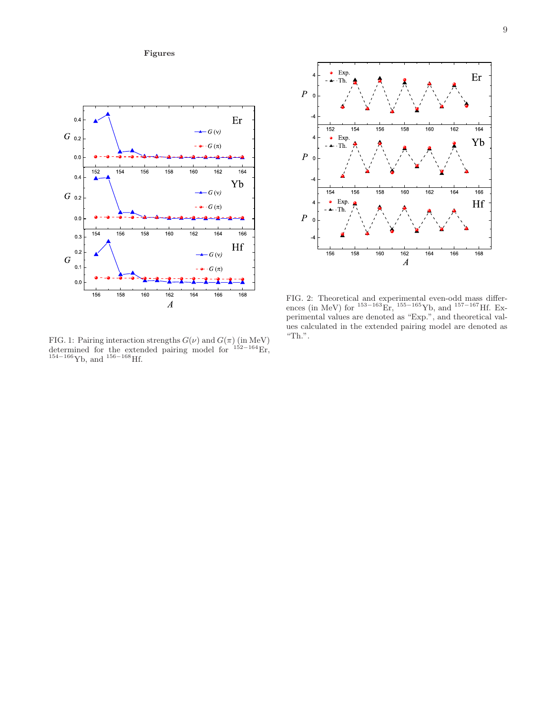Figures



FIG. 1: Pairing interaction strengths  $G(\nu)$  and  $G(\pi)$  (in MeV) determined for the extended pairing model for <sup>152–164</sup>Er,  $154-166$ Yb, and  $156-168$  Hf.



FIG. 2: Theoretical and experimental even-odd mass differences (in MeV) for  $^{153-163}$ Er,  $^{155-165}$ Yb, and  $^{157-167}$ Hf. Experimental values are denoted as "Exp.", and theoretical values calculated in the extended pairing model are denoted as "Th.".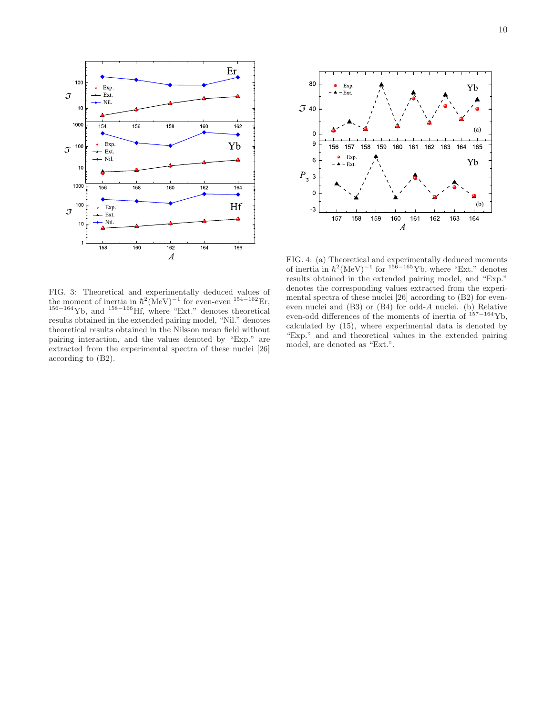



FIG. 3: Theoretical and experimentally deduced values of the moment of inertia in  $\hbar^2 (\text{MeV})^{-1}$  for even-even  $^{154-162}\text{Er},$  $^{156-164}\text{Yb}$ , and  $^{158-166}\text{Hf}$ , where "Ext." denotes theoretical results obtained in the extended pairing model, "Nil." denotes theoretical results obtained in the Nilsson mean field without pairing interaction, and the values denoted by "Exp." are extracted from the experimental spectra of these nuclei [26] according to (B2).

FIG. 4: (a) Theoretical and experimentally deduced moments of inertia in  $\hbar^2(\text{MeV})^{-1}$  for  $15\hat{6}-165\text{Yb}$ , where "Ext." denotes results obtained in the extended pairing model, and "Exp." denotes the corresponding values extracted from the experimental spectra of these nuclei [26] according to (B2) for eveneven nuclei and (B3) or (B4) for odd-A nuclei. (b) Relative even-odd differences of the moments of inertia of <sup>157</sup>−<sup>164</sup>Yb, calculated by (15), where experimental data is denoted by "Exp." and and theoretical values in the extended pairing model, are denoted as "Ext.".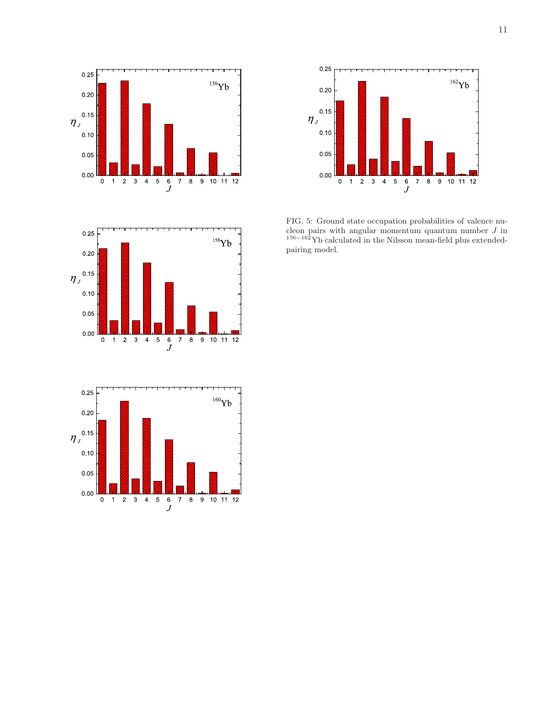



້





FIG. 5: Ground state occupation probabilities of valence nucleon pairs with angular momentum quantum number  $J$  in  $^{156-162}$  Yb calculated in the Nilsson mean-field plus extendedpairing model.